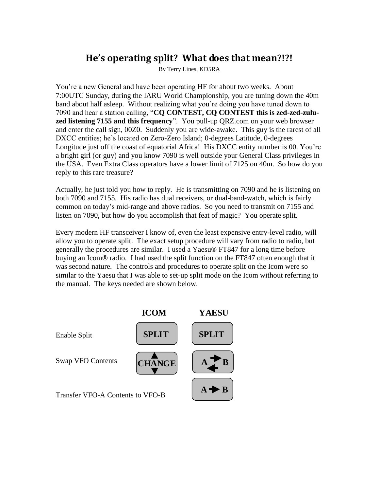## **He's operating split? What does that mean?!?!**

By Terry Lines, KD5RA

You're a new General and have been operating HF for about two weeks. About 7:00UTC Sunday, during the IARU World Championship, you are tuning down the 40m band about half asleep. Without realizing what you're doing you have tuned down to 7090 and hear a station calling, "**CQ CONTEST, CQ CONTEST this is zed-zed-zuluzed listening 7155 and this frequency**". You pull-up QRZ.com on your web browser and enter the call sign, 00Z0. Suddenly you are wide-awake. This guy is the rarest of all DXCC entities; he's located on Zero-Zero Island; 0-degrees Latitude, 0-degrees Longitude just off the coast of equatorial Africa! His DXCC entity number is 00. You're a bright girl (or guy) and you know 7090 is well outside your General Class privileges in the USA. Even Extra Class operators have a lower limit of 7125 on 40m. So how do you reply to this rare treasure?

Actually, he just told you how to reply. He is transmitting on 7090 and he is listening on both 7090 and 7155. His radio has dual receivers, or dual-band-watch, which is fairly common on today's mid-range and above radios. So you need to transmit on 7155 and listen on 7090, but how do you accomplish that feat of magic? You operate split.

Every modern HF transceiver I know of, even the least expensive entry-level radio, will allow you to operate split. The exact setup procedure will vary from radio to radio, but generally the procedures are similar. I used a Yaesu® FT847 for a long time before buying an Icom® radio. I had used the split function on the FT847 often enough that it was second nature. The controls and procedures to operate split on the Icom were so similar to the Yaesu that I was able to set-up split mode on the Icom without referring to the manual. The keys needed are shown below.

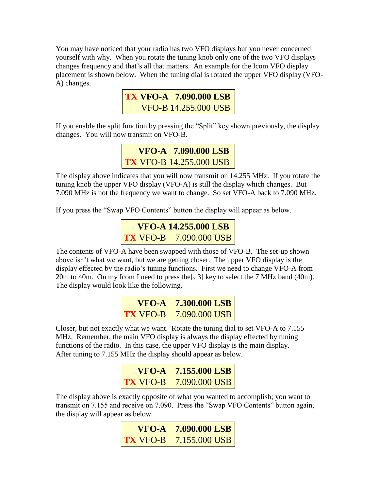You may have noticed that your radio has two VFO displays but you never concerned yourself with why. When you rotate the tuning knob only one of the two VFO displays changes frequency and that's all that matters. An example for the Icom VFO display placement is shown below. When the tuning dial is rotated the upper VFO display (VFO-A) changes.



If you enable the split function by pressing the "Split" key shown previously, the display changes. You will now transmit on VFO-B.

```
 VFO-A 7.090.000 LSB
TX VFO-B 14.255.000 USB
```
The display above indicates that you will now transmit on 14.255 MHz. If you rotate the tuning knob the upper VFO display (VFO-A) is still the display which changes. But 7.090 MHz is not the frequency we want to change. So set VFO-A back to 7.090 MHz.

If you press the "Swap VFO Contents" button the display will appear as below.



The contents of VFO-A have been swapped with those of VFO-B. The set-up shown above isn't what we want, but we are getting closer. The upper VFO display is the display effected by the radio's tuning functions. First we need to change VFO-A from 20m to 40m. On my Icom I need to press the  $[7, 3]$  key to select the 7 MHz band (40m). The display would look like the following.



Closer, but not exactly what we want. Rotate the tuning dial to set VFO-A to 7.155 MHz. Remember, the main VFO display is always the display effected by tuning functions of the radio. In this case, the upper VFO display is the main display. After tuning to 7.155 MHz the display should appear as below.

| <b>VFO-A 7.155.000 LSB</b><br><b>TX</b> VFO-B 7.090.000 USB |
|-------------------------------------------------------------|

The display above is exactly opposite of what you wanted to accomplish; you want to transmit on 7.155 and receive on 7.090. Press the "Swap VFO Contents" button again, the display will appear as below.

| $\bf VFO-A$ 7.090.000 LSB      |
|--------------------------------|
| $\vert$ TX VFO-B 7.155.000 USB |